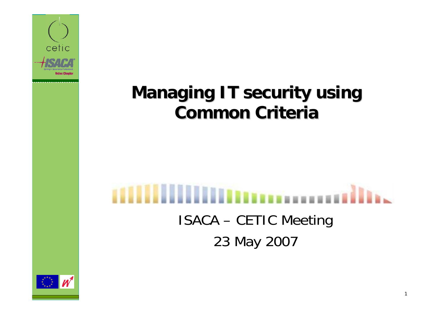

### **Managing IT security using Common Criteria Common Criteria**

# ISACA – CETIC Meeting 23 May 2007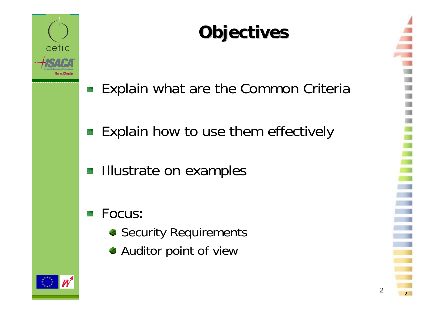

# **Objectives Objectives**

- Explain what are the Common Criteria 驠
- Explain how to use them effectively 籏
- Illustrate on examples SS.

### Focus:

- **Security Requirements**
- Auditor point of view



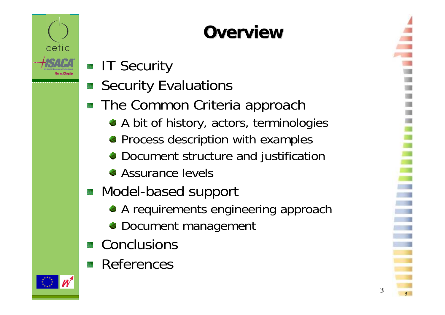

# **Overview Overview**

- **IT Security**
- Security Evaluations
- The Common Criteria approach
	- A bit of history, actors, terminologies
	- **Process description with examples**
	- **Document structure and justification**
	- **Assurance levels**
- **Model-based support** 
	- A requirements engineering approach
	- **Document management**
- Conclusions
- **References**

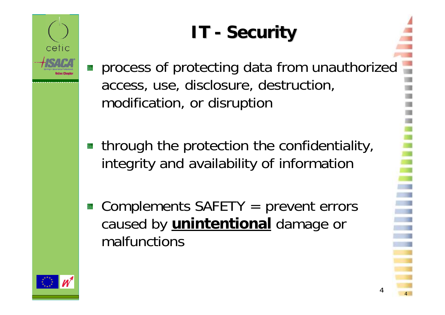# **IT - Security**

- process of protecting data from unauthorized access, use, disclosure, destruction, modification, or disruption
- **through the protection the confidentiality,** integrity and availability of information
- Complements SAFETY = prevent errors caused by **unintentional** damage or malfunctions

4

 $\sim$  4

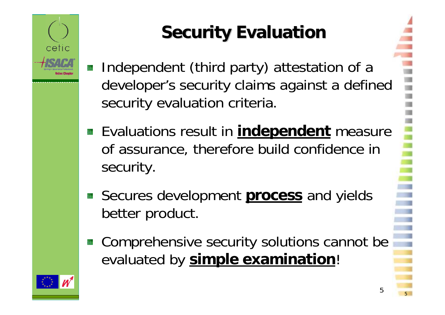

# **Security Evaluation Security Evaluation**

- Independent (third party) attestation of a developer's security claims against a defined security evaluation criteria.
- **Evaluations result in independent** measure of assurance, therefore build confidence in security.
- Secures development **process** and yields better product.
- Comprehensive security solutions cannot be evaluated by **simple examination**!

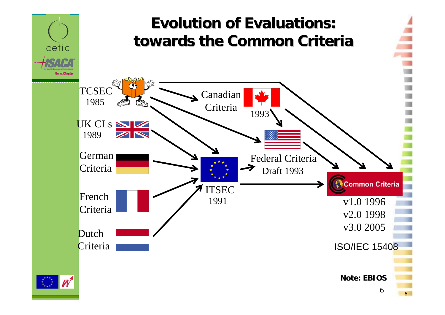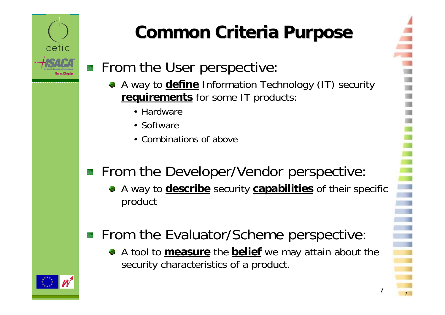

# **Common Criteria Purpose Common Criteria Purpose**

- **From the User perspective:** 
	- A way to **define** Information Technology (IT) security **requirements** for some IT products:
		- Hardware
		- Software
		- Combinations of above

### From the Developer/Vendor perspective:

- A way to **describe** security **capabilities** of their specific product
- **From the Evaluator/Scheme perspective:** 
	- A tool to **measure** the **belief** we may attain about the security characteristics of a product.

7

<sup>7</sup>

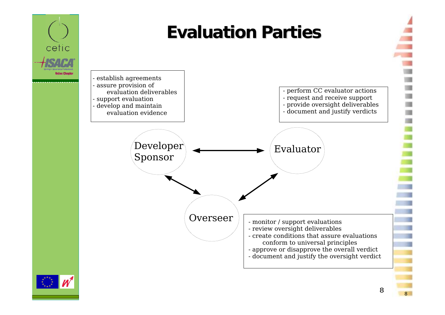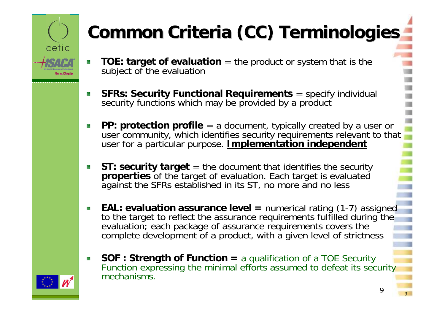

# **Common Criteria (CC) Terminologies Common Criteria (CC) Terminologies**

- **TOE: target of evaluation** = the product or system that is the subject of the evaluation
- **SFRs: Security Functional Requirements** = specify individual 族 security functions which may be provided by a product
- **PP: protection profile** = a document, typically created by a user or user community, which identifies security requirements relevant to that user for a particular purpose. **Implementation independent**
- **ST: security target** = the document that identifies the security **properties** of the target of evaluation. Each target is evaluated against the SFRs established in its ST, no more and no less
- **EAL: evaluation assurance level = numerical rating (1-7) assigned** to the target to reflect the assurance requirements fulfilled during the evaluation; each package of assurance requirements covers the complete development of a product, with a given level of strictness
- **SOF : Strength of Function =** a qualification of a TOE Security Function expressing the minimal efforts assumed to defeat its security mechanisms.

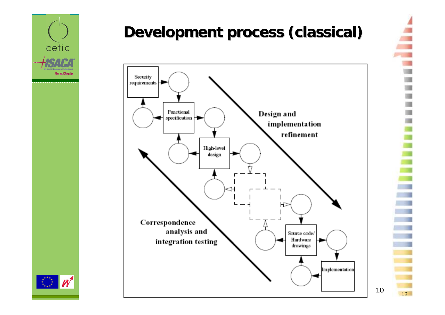

### **Development process (classical) Development process (classical)**



 $\overline{\phantom{0}}$  10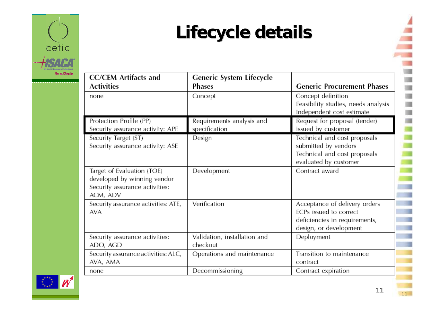

## **Lifecycle details Lifecycle details**

| <b>CC/CEM</b> Artifacts and<br><b>Activities</b>                                                        | Generic System Lifecycle<br>Phases         | <b>Generic Procurement Phases</b>                                                                                  |
|---------------------------------------------------------------------------------------------------------|--------------------------------------------|--------------------------------------------------------------------------------------------------------------------|
| none                                                                                                    | Concept                                    | Concept definition<br>Feasibility studies, needs analysis<br>Independent cost estimate                             |
| Protection Profile (PP)<br>Security assurance activity: APE                                             | Requirements analysis and<br>specification | Request for proposal (tender)<br>issued by customer                                                                |
| Security Target (ST)<br>Security assurance activity: ASE                                                | Design                                     | Technical and cost proposals<br>submitted by vendors<br>Technical and cost proposals<br>evaluated by customer      |
| Target of Evaluation (TOE)<br>developed by winning vendor<br>Security assurance activities:<br>ACM, ADV | Development                                | Contract award                                                                                                     |
| Security assurance activities: ATE,<br><b>AVA</b>                                                       | Verification                               | Acceptance of delivery orders<br>ECPs issued to correct<br>deficiencies in requirements,<br>design, or development |
| Security assurance activities:<br>ADO, AGD                                                              | Validation, installation and<br>checkout   | Deployment                                                                                                         |
| Security assurance activities: ALC,<br>AVA, AMA                                                         | Operations and maintenance                 | Transition to maintenance<br>contract                                                                              |
| none                                                                                                    | Decommissioning                            | Contract expiration                                                                                                |

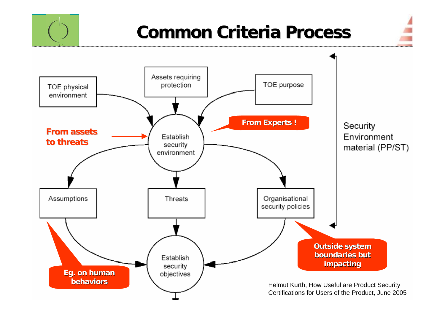

12 12Certifications for Users of the Product, June 2005 Helmut Kurth, How Useful are Product Security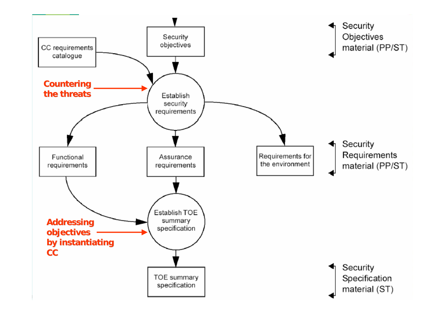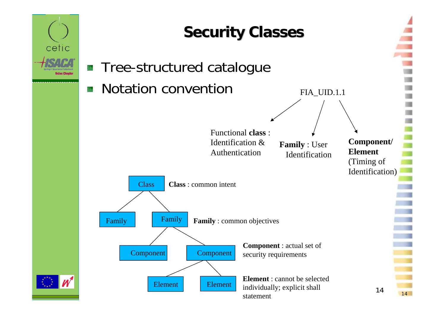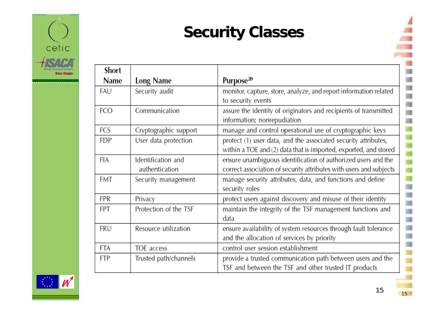

### **Security Classes**

| Short |                                      |                                                                                                                                     |
|-------|--------------------------------------|-------------------------------------------------------------------------------------------------------------------------------------|
| Name  | Long Name                            | Purpose <sup>20</sup>                                                                                                               |
| FAU   | Security audit                       | monitor, capture, store, analyze, and report information related<br>to security events                                              |
| FCO   | Communication                        | assure the identity of originators and recipients of transmitted<br>information; nonrepudiation                                     |
| FCS   | Cryptographic support                | manage and control operational use of cryptographic keys                                                                            |
| FDP   | User data protection                 | protect (1) user data, and the associated security attributes,<br>within a TOE and (2) data that is imported, exported, and stored  |
| FIA   | Identification and<br>authentication | ensure unambiguous identification of authorized users and the<br>correct association of security attributes with users and subjects |
| FMT   | Security management                  | manage security attributes, data, and functions and define<br>security roles                                                        |
| FPR   | Privacy                              | protect users against discovery and misuse of their identity                                                                        |
| FPT   | Protection of the TSF                | maintain the integrity of the TSF management functions and<br>data                                                                  |
| FRU   | Resource utilization                 | ensure availability of system resources through fault tolerance<br>and the allocation of services by priority                       |
| FTA   | TOE access                           | control user session establishment                                                                                                  |
| FTP   | Trusted path/channels                | provide a trusted communication path between users and the<br>TSF and between the TSF and other trusted IT products                 |



 $\overline{\phantom{0}}$  15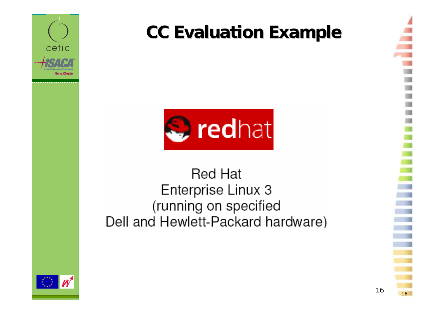

## **CC Evaluation Example CC Evaluation Example**



### **Red Hat** Enterprise Linux 3 (running on specified Dell and Hewlett-Packard hardware)

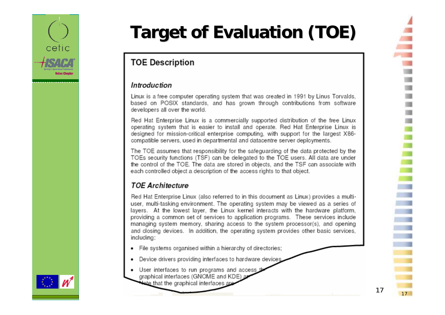

# **Target of Evaluation (TOE) Target of Evaluation (TOE)**

#### **TOE Description**

#### Introduction

Linux is a free computer operating system that was created in 1991 by Linus Torvalds, based on POSIX standards, and has grown through contributions from software developers all over the world.

Red Hat Enterprise Linux is a commercially supported distribution of the free Linux operating system that is easier to install and operate. Red Hat Enterprise Linux is designed for mission-critical enterprise computing, with support for the largest X86compatible servers, used in departmental and datacentre server deployments.

The TOE assumes that responsibility for the safeguarding of the data protected by the TOEs security functions (TSF) can be delegated to the TOE users. All data are under the control of the TOE. The data are stored in objects, and the TSF can associate with each controlled object a description of the access rights to that object.

#### **TOE Architecture**

Red Hat Enterprise Linux (also referred to in this document as Linux) provides a multiuser, multi-tasking environment. The operating system may be viewed as a series of layers. At the lowest layer, the Linux kernel interacts with the hardware platform, providing a common set of services to application programs. These services include managing system memory, sharing access to the system processor(s), and opening and closing devices. In addition, the operating system provides other basic services. including:

- File systems organised within a hierarchy of directories;
- Device drivers providing interfaces to hardware devices
- User interfaces to run programs and access t graphical interfaces (GNOME and KDE) a



17

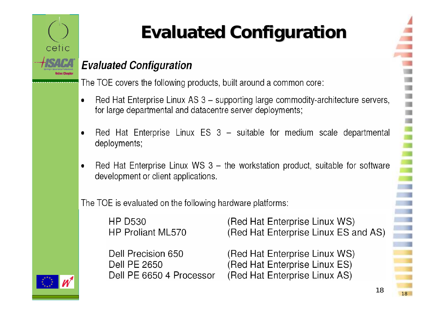

# **Evaluated Configuration Evaluated Configuration**

#### **Evaluated Configuration**

The TOE covers the following products, built around a common core:

- Red Hat Enterprise Linux AS 3 supporting large commodity-architecture servers, for large departmental and datacentre server deployments;
- Red Hat Enterprise Linux ES 3 suitable for medium scale departmental deployments;
- Red Hat Enterprise Linux WS 3 the workstation product, suitable for software development or client applications.

The TOE is evaluated on the following hardware platforms:

| HP D530           | (Red Hat Enterprise Linux WS)        |
|-------------------|--------------------------------------|
| HP Proliant ML570 | (Red Hat Enterprise Linux ES and AS) |

Dell Precision 650 **Dell PE 2650** Dell PE 6650 4 Processor (Red Hat Enterprise Linux WS) (Red Hat Enterprise Linux ES) (Red Hat Enterprise Linux AS)



18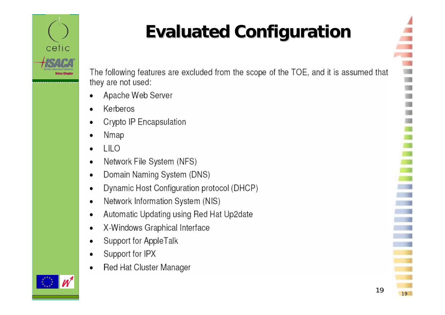

# **Evaluated Configuration Evaluated Configuration**

The following features are excluded from the scope of the TOE, and it is assumed that they are not used:

- Apache Web Server
- Kerberos
- Crypto IP Encapsulation
- Nmap
- **LILO**
- Network File System (NFS)  $\bullet$
- Domain Naming System (DNS)  $\bullet$
- Dynamic Host Configuration protocol (DHCP)  $\bullet$
- Network Information System (NIS)  $\bullet$
- Automatic Updating using Red Hat Up2date  $\bullet$
- X-Windows Graphical Interface ٠
- Support for AppleTalk
- Support for IPX  $\bullet$
- Red Hat Cluster Manager



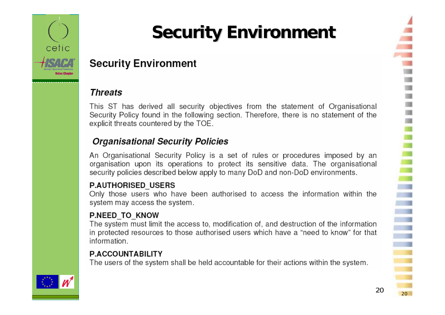

# **Security Environment Security Environment**

#### **Security Environment**

#### **Threats**

This ST has derived all security objectives from the statement of Organisational Security Policy found in the following section. Therefore, there is no statement of the explicit threats countered by the TOE.

#### **Organisational Security Policies**

An Organisational Security Policy is a set of rules or procedures imposed by an organisation upon its operations to protect its sensitive data. The organisational security policies described below apply to many DoD and non-DoD environments.

#### **P.AUTHORISED USERS**

Only those users who have been authorised to access the information within the system may access the system.

#### **P.NEED TO KNOW**

The system must limit the access to, modification of, and destruction of the information in protected resources to those authorised users which have a "need to know" for that information.

#### **P.ACCOUNTABILITY**

The users of the system shall be held accountable for their actions within the system.

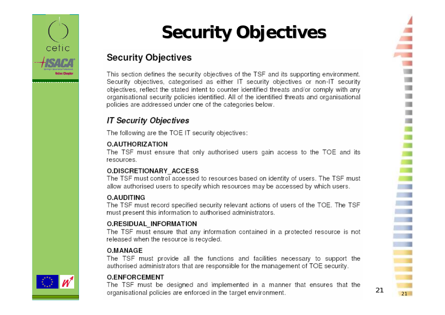

## **Security Objectives Security Objectives**

#### **Security Objectives**

This section defines the security objectives of the TSF and its supporting environment. Security objectives, categorised as either IT security objectives or non-IT security objectives, reflect the stated intent to counter identified threats and/or comply with any organisational security policies identified. All of the identified threats and organisational policies are addressed under one of the categories below.

#### **IT Security Objectives**

The following are the TOE IT security objectives:

#### O.AUTHORIZATION

The TSF must ensure that only authorised users gain access to the TOE and its resources.

#### **O.DISCRETIONARY ACCESS**

The TSF must control accessed to resources based on identity of users. The TSF must allow authorised users to specify which resources may be accessed by which users.

#### **O.AUDITING**

The TSF must record specified security relevant actions of users of the TOE. The TSF must present this information to authorised administrators.

#### **O.RESIDUAL INFORMATION**

The TSF must ensure that any information contained in a protected resource is not released when the resource is recycled.

#### O.MANAGE

The TSF must provide all the functions and facilities necessary to support the authorised administrators that are responsible for the management of TOE security.

#### **O.ENFORCEMENT**

The TSF must be designed and implemented in a manner that ensures that the organisational policies are enforced in the target environment.

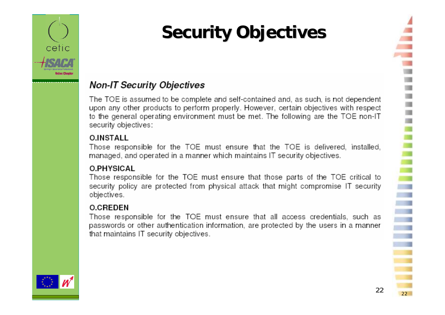

# **Security Objectives**

#### **Non-IT Security Objectives**

The TOE is assumed to be complete and self-contained and, as such, is not dependent upon any other products to perform properly. However, certain objectives with respect to the general operating environment must be met. The following are the TOE non-IT security objectives:

#### **O.INSTALL**

Those responsible for the TOE must ensure that the TOE is delivered, installed, managed, and operated in a manner which maintains IT security objectives.

#### **O.PHYSICAL**

Those responsible for the TOE must ensure that those parts of the TOE critical to security policy are protected from physical attack that might compromise IT security objectives.

#### **O.CREDEN**

Those responsible for the TOE must ensure that all access credentials, such as passwords or other authentication information, are protected by the users in a manner that maintains IT security objectives.

22

22

i.

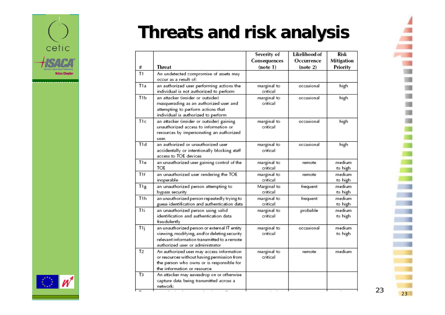

## **Threats and risk analysis Threats and risk analysis**

| Consequences<br>Occurrence<br><b>Threat</b><br>(note 1)<br>(note 2)<br>#<br>T1<br>An undetected compromise of assets may<br>occur as a result of:<br>T1a<br>an authorized user performing actions the<br>occasional<br>high<br>marginal to<br>individual is not authorized to perform<br>critical<br>T <sub>1</sub> b<br>an attacker (insider or outsider)<br>marginal to<br>occasional<br>high<br>masquerading as an authorized user and<br>critical<br>attempting to perform actions that<br>individual is authorized to perform<br>T1c<br>marginal to<br>high<br>an attacker (insider or outsider) gaining<br>occasional<br>unauthorized access to information or<br>critical<br>resources by impersonating an authorized<br>user.<br>T1d<br>an authorized or unauthorized user<br>marginal to<br>high<br>occasional<br>critical<br>accidentally or intentionally blocking staff<br>access to TOE devices<br>T1e<br>an unauthorized user gaining control of the<br>marginal to<br>remote<br>TOE<br>critical<br>T <sub>1f</sub><br>an unauthorized user rendering the TOE<br>marginal to<br>remote<br>critical<br>inoperable<br>T <sub>1g</sub><br>Marginal to<br>an unauthorized person attempting to<br>frequent<br>critical<br>bypass security<br>T <sub>1</sub> h<br>an unauthorized person repeatedly trying to<br>marginal to<br>frequent<br>guess identification and authentication data<br>critical<br>T1i<br>an unauthorized person using valid<br>marginal to<br>probable<br>identification and authentication data<br>critical<br>fraudulently<br>T1j<br>occasional<br>an unauthorized person or external IT entity<br>marginal to<br>critical<br>viewing, modifying, and/or deleting security<br>relevant information transmitted to a remote<br>authorized user or administrator<br>T <sub>2</sub><br>marginal to<br>An authorized user may access information<br>remote<br>critical<br>or resources without having permission from<br>the person who owns or is responsible for<br>the information or resource<br>T <sub>3</sub><br>An attacker may eavesdrop on or otherwise<br>capture data being transmitted across a<br>network: |  | Severity of | Likelihood of | Risk              |
|------------------------------------------------------------------------------------------------------------------------------------------------------------------------------------------------------------------------------------------------------------------------------------------------------------------------------------------------------------------------------------------------------------------------------------------------------------------------------------------------------------------------------------------------------------------------------------------------------------------------------------------------------------------------------------------------------------------------------------------------------------------------------------------------------------------------------------------------------------------------------------------------------------------------------------------------------------------------------------------------------------------------------------------------------------------------------------------------------------------------------------------------------------------------------------------------------------------------------------------------------------------------------------------------------------------------------------------------------------------------------------------------------------------------------------------------------------------------------------------------------------------------------------------------------------------------------------------------------------------------------------------------------------------------------------------------------------------------------------------------------------------------------------------------------------------------------------------------------------------------------------------------------------------------------------------------------------------------------------------------------------------------------------------------------------------------------------------------------------------------------------------------------|--|-------------|---------------|-------------------|
|                                                                                                                                                                                                                                                                                                                                                                                                                                                                                                                                                                                                                                                                                                                                                                                                                                                                                                                                                                                                                                                                                                                                                                                                                                                                                                                                                                                                                                                                                                                                                                                                                                                                                                                                                                                                                                                                                                                                                                                                                                                                                                                                                      |  |             |               | Mitigation        |
|                                                                                                                                                                                                                                                                                                                                                                                                                                                                                                                                                                                                                                                                                                                                                                                                                                                                                                                                                                                                                                                                                                                                                                                                                                                                                                                                                                                                                                                                                                                                                                                                                                                                                                                                                                                                                                                                                                                                                                                                                                                                                                                                                      |  |             |               | Priority          |
|                                                                                                                                                                                                                                                                                                                                                                                                                                                                                                                                                                                                                                                                                                                                                                                                                                                                                                                                                                                                                                                                                                                                                                                                                                                                                                                                                                                                                                                                                                                                                                                                                                                                                                                                                                                                                                                                                                                                                                                                                                                                                                                                                      |  |             |               |                   |
|                                                                                                                                                                                                                                                                                                                                                                                                                                                                                                                                                                                                                                                                                                                                                                                                                                                                                                                                                                                                                                                                                                                                                                                                                                                                                                                                                                                                                                                                                                                                                                                                                                                                                                                                                                                                                                                                                                                                                                                                                                                                                                                                                      |  |             |               |                   |
|                                                                                                                                                                                                                                                                                                                                                                                                                                                                                                                                                                                                                                                                                                                                                                                                                                                                                                                                                                                                                                                                                                                                                                                                                                                                                                                                                                                                                                                                                                                                                                                                                                                                                                                                                                                                                                                                                                                                                                                                                                                                                                                                                      |  |             |               |                   |
|                                                                                                                                                                                                                                                                                                                                                                                                                                                                                                                                                                                                                                                                                                                                                                                                                                                                                                                                                                                                                                                                                                                                                                                                                                                                                                                                                                                                                                                                                                                                                                                                                                                                                                                                                                                                                                                                                                                                                                                                                                                                                                                                                      |  |             |               |                   |
|                                                                                                                                                                                                                                                                                                                                                                                                                                                                                                                                                                                                                                                                                                                                                                                                                                                                                                                                                                                                                                                                                                                                                                                                                                                                                                                                                                                                                                                                                                                                                                                                                                                                                                                                                                                                                                                                                                                                                                                                                                                                                                                                                      |  |             |               |                   |
|                                                                                                                                                                                                                                                                                                                                                                                                                                                                                                                                                                                                                                                                                                                                                                                                                                                                                                                                                                                                                                                                                                                                                                                                                                                                                                                                                                                                                                                                                                                                                                                                                                                                                                                                                                                                                                                                                                                                                                                                                                                                                                                                                      |  |             |               | medium<br>to high |
|                                                                                                                                                                                                                                                                                                                                                                                                                                                                                                                                                                                                                                                                                                                                                                                                                                                                                                                                                                                                                                                                                                                                                                                                                                                                                                                                                                                                                                                                                                                                                                                                                                                                                                                                                                                                                                                                                                                                                                                                                                                                                                                                                      |  |             |               | medium<br>to high |
|                                                                                                                                                                                                                                                                                                                                                                                                                                                                                                                                                                                                                                                                                                                                                                                                                                                                                                                                                                                                                                                                                                                                                                                                                                                                                                                                                                                                                                                                                                                                                                                                                                                                                                                                                                                                                                                                                                                                                                                                                                                                                                                                                      |  |             |               | medium<br>to high |
|                                                                                                                                                                                                                                                                                                                                                                                                                                                                                                                                                                                                                                                                                                                                                                                                                                                                                                                                                                                                                                                                                                                                                                                                                                                                                                                                                                                                                                                                                                                                                                                                                                                                                                                                                                                                                                                                                                                                                                                                                                                                                                                                                      |  |             |               | medium<br>to high |
|                                                                                                                                                                                                                                                                                                                                                                                                                                                                                                                                                                                                                                                                                                                                                                                                                                                                                                                                                                                                                                                                                                                                                                                                                                                                                                                                                                                                                                                                                                                                                                                                                                                                                                                                                                                                                                                                                                                                                                                                                                                                                                                                                      |  |             |               | medium<br>to high |
|                                                                                                                                                                                                                                                                                                                                                                                                                                                                                                                                                                                                                                                                                                                                                                                                                                                                                                                                                                                                                                                                                                                                                                                                                                                                                                                                                                                                                                                                                                                                                                                                                                                                                                                                                                                                                                                                                                                                                                                                                                                                                                                                                      |  |             |               | medium<br>to high |
|                                                                                                                                                                                                                                                                                                                                                                                                                                                                                                                                                                                                                                                                                                                                                                                                                                                                                                                                                                                                                                                                                                                                                                                                                                                                                                                                                                                                                                                                                                                                                                                                                                                                                                                                                                                                                                                                                                                                                                                                                                                                                                                                                      |  |             |               | medium            |
|                                                                                                                                                                                                                                                                                                                                                                                                                                                                                                                                                                                                                                                                                                                                                                                                                                                                                                                                                                                                                                                                                                                                                                                                                                                                                                                                                                                                                                                                                                                                                                                                                                                                                                                                                                                                                                                                                                                                                                                                                                                                                                                                                      |  |             |               |                   |

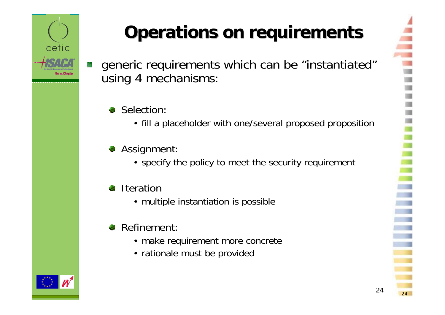

# **Operations on requirements Operations on requirements**

generic requirements which can be "instantiated" using 4 mechanisms:

#### Selection:

- fill a placeholder with one/several proposed proposition
- **Assignment:** 
	- specify the policy to meet the security requirement
- **Iteration** 92
	- multiple instantiation is possible

#### Refinement: đ,

- make requirement more concrete
- rationale must be provided



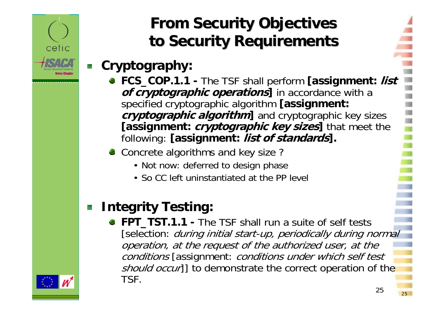

### **From Security Ob From Security Ob jectives ectives to Security Requirements to Security Requirements**

### **Cryptography:**

- **FCS\_COP.1.1 The TSF shall perform [assignment: list** *of cryptographic operations* in accordance with a specified cryptographic algorithm **[assignment: cryptographic algorithm**] and cryptographic key sizes **[assignment: cryptographic key sizes]** that meet the following: **[assignment: list of standards].**
- Concrete algorithms and key size?
	- Not now: deferred to design phase
	- So CC left uninstantiated at the PP level

### **Integrity Testing:**

**FPT\_TST.1.1 -** The TSF shall run a suite of self tests [selection: *during initial start-up, periodically during normal* operation, at the request of the authorized user, at the conditions [assignment: conditions under which self test should occur]] to demonstrate the correct operation of the TSF.

25

 $\frac{25}{25}$ 

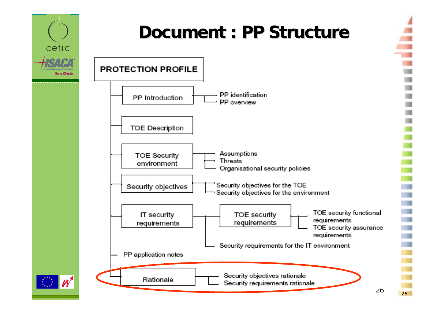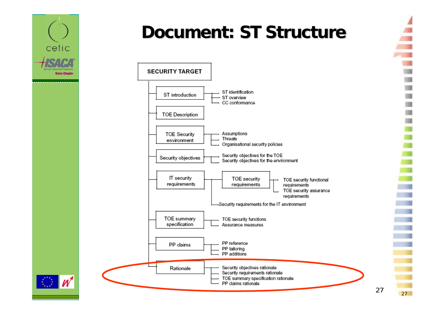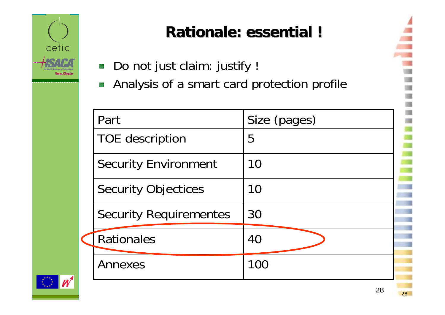

### **Rationale: essential ! Rationale: essential !**

Do not just claim: justify ! 魬 Analysis of a smart card protection profile 艕

| Part                          | Size (pages) |
|-------------------------------|--------------|
| <b>TOE</b> description        | 5            |
| <b>Security Environment</b>   | 10           |
| <b>Security Objectices</b>    | 10           |
| <b>Security Requirementes</b> | 30           |
| <b>Rationales</b>             | 40           |
| Annexes                       | 100          |

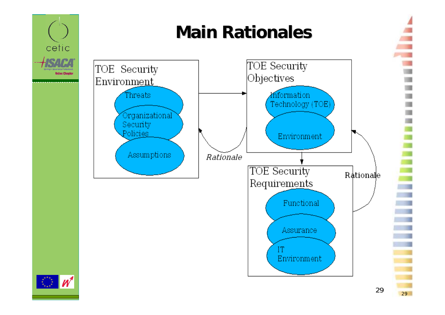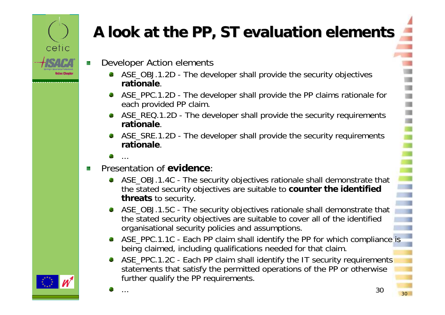

## **A look at the PP, ST evaluation elements A look at the PP, ST evaluation elements**

- Developer Action elements
	- ASE OBJ.1.2D The developer shall provide the security objectives **rationale**.
	- ASE\_PPC.1.2D The developer shall provide the PP claims rationale for each provided PP claim.
	- ASE\_REQ.1.2D The developer shall provide the security requirements **rationale**.
	- ASE\_SRE.1.2D The developer shall provide the security requirements **rationale**.
	- ...
- Presentation of **evidence**:ķ.
	- ASE\_OBJ.1.4C The security objectives rationale shall demonstrate that the stated security objectives are suitable to **counter the identified threats** to security.
	- ASE OBJ.1.5C The security objectives rationale shall demonstrate that the stated security objectives are suitable to cover all of the identified organisational security policies and assumptions.
	- ASE PPC.1.1C Each PP claim shall identify the PP for which compliance is being claimed, including qualifications needed for that claim.
	- ASE PPC.1.2C Each PP claim shall identify the IT security requirements statements that satisfy the permitted operations of the PP or otherwise further qualify the PP requirements.

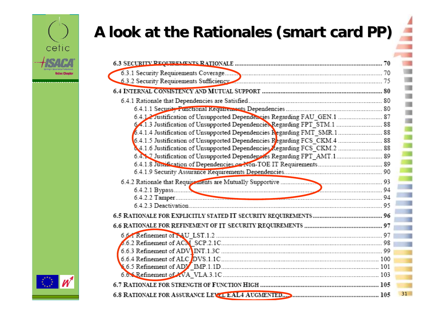

## **A look at the Rationales (smart card PP) A look at the Rationales (smart card PP)**

| 6.4.12 Justification of Unsupported Dependencies Regarding FAU GEN.1  87  |    |
|---------------------------------------------------------------------------|----|
| 64.1.3 Justification of Unsupported Dependencies Regarding FPT STM.1  88  |    |
|                                                                           |    |
| 6.4.1.5 Justification of Unsupported Dependencies Regarding FCS_CKM.4  88 |    |
|                                                                           |    |
| 6.4. 7 Justification of Unsupported Dependencies Regarding FPT_AMT.1 89   |    |
|                                                                           |    |
|                                                                           |    |
|                                                                           |    |
|                                                                           |    |
|                                                                           |    |
|                                                                           |    |
|                                                                           |    |
|                                                                           |    |
|                                                                           |    |
|                                                                           |    |
|                                                                           |    |
|                                                                           |    |
|                                                                           |    |
|                                                                           |    |
|                                                                           |    |
|                                                                           | 31 |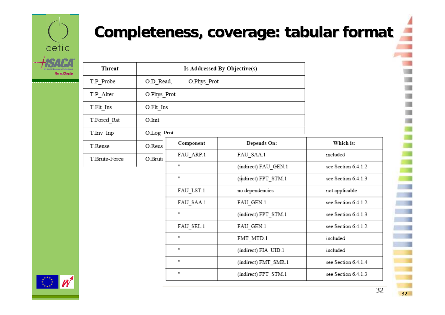

### **Completeness, coverage: tabular format**

| Threat        | Is Addressed By Objective(s) |           |                      |                     |
|---------------|------------------------------|-----------|----------------------|---------------------|
| T.P_Probe     | O.Phys_Prot<br>O.D Read,     |           |                      |                     |
| T.P Alter     | O.Phys_Prot                  |           |                      |                     |
| T.Flt_Ins     | O.Flt Ins                    |           |                      |                     |
| T.Forcd Rst   | O.Init                       |           |                      |                     |
| T.Inv Inp     | O.Log_Prot                   |           |                      |                     |
| T.Reuse       | O.Reus                       | Component | Depends On:          | Which is:           |
| T.Brute-Force | O.Brut                       | FAU_ARP.1 | FAU_SAA.1            | included            |
|               |                              | н         | (indirect) FAU GEN.1 | see Section 6.4.1.2 |
|               |                              | H.        | (indirect) FPT_STM.1 | see Section 6.4.1.3 |
|               |                              | FAU LST.1 | no dependencies      | not applicable      |
|               |                              | FAU_SAA.1 | FAU GEN.1            | see Section 6.4.1.2 |
|               |                              | m         | (indirect) FPT_STM.1 | see Section 6.4.1.3 |
|               |                              | FAU_SEL.1 | FAU_GEN.1            | see Section 6.4.1.2 |
|               |                              | н         | FMT MTD.1            | included            |
|               |                              | H.        | (indirect) FIA UID.1 | included            |
|               |                              | m         | (indirect) FMT SMR.1 | see Section 6.4.1.4 |
|               |                              | H.        | (indirect) FPT_STM.1 | see Section 6.4.1.3 |
|               |                              |           |                      |                     |

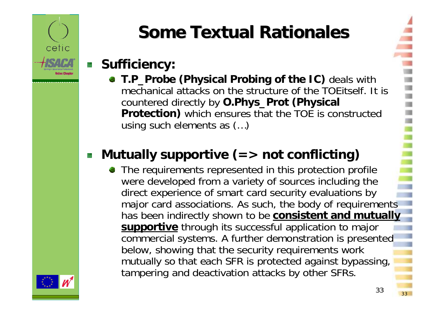

# **Some Textual Rationales Some Textual Rationales**

### **Sufficiency:**

**T.P\_Probe (Physical Probing of the IC)** deals with mechanical attacks on the structure of the TOEitself. It is countered directly by **O.Phys\_Prot (Physical Protection)** which ensures that the TOE is constructed using such elements as (…)

### **Mutually supportive (=> not conflicting)**

• The requirements represented in this protection profile were developed from a variety of sources including the direct experience of smart card security evaluations by major card associations. As such, the body of requirements has been indirectly shown to be **consistent and mutually supportive** through its successful application to major commercial systems. A further demonstration is presented below, showing that the security requirements work mutually so that each SFR is protected against bypassing, tampering and deactivation attacks by other SFRs.

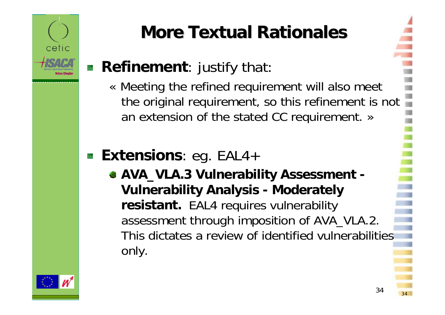

# **More Textual Rationales More Textual Rationales**

### **Refinement:** justify that:

« Meeting the refined requirement will also meet the original requirement, so this refinement is not an extension of the stated CC requirement. »

### **Extensions**: eg. EAL4+

**AVA\_VLA.3 Vulnerability Assessment - Vulnerability Analysis - Moderately resistant.** EAL4 requires vulnerability assessment through imposition of AVA\_VLA.2. This dictates a review of identified vulnerabilities only.

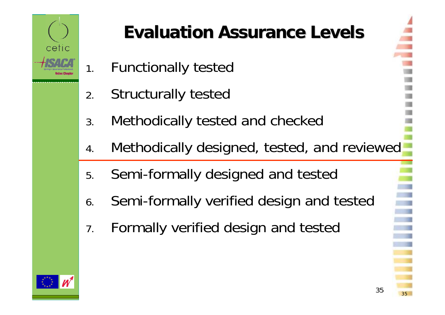

# **Evaluation Assurance Levels Evaluation Assurance Levels**

- 1.Functionally tested
- 2.Structurally tested
- 3.Methodically tested and checked
- 4.Methodically designed, tested, and reviewed
- 5.Semi-formally designed and tested
- 6.Semi-formally verified design and tested
- 7.Formally verified design and tested

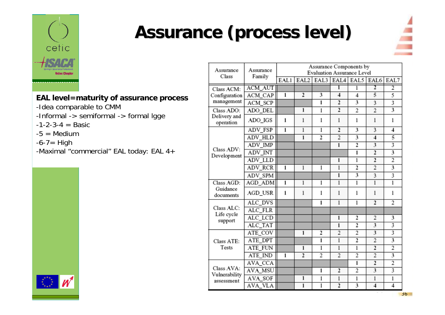

## **Assurance (process level) Assurance (process level)**

Assurance

Assurance



#### **EAL level=maturity of assurance process**

- -Idea comparable to CMM
- -Informal -> semiformal -> formal lgge
- $-1-2-3-4 =$ Basic
- $-5$  = Medium
- $-6-7=$  High
- -Maximal "commercial" EAL today: EAL 4+

| Class                       |                |                |                |                |                |                |                         |                |
|-----------------------------|----------------|----------------|----------------|----------------|----------------|----------------|-------------------------|----------------|
|                             | Family         | EAL1           | EAL2           | EAL3           | EAL4           | EAL5           | EAL6                    | EAL7           |
| Class ACM:                  | <b>ACM AUT</b> |                |                |                | ī              | 1              | 2                       | $\overline{2}$ |
| Configuration               | ACM_CAP        | $\overline{1}$ | $\overline{2}$ | 3              | 4              | 4              | 5                       | 5              |
| management                  | ACM_SCP        |                |                | 1              | $\overline{2}$ | 3              | 3                       | 3              |
| Class ADO:                  | ADO DEL        |                | $\mathbf{1}$   | $\mathbf{1}$   | $\overline{2}$ | 2              | $\overline{2}$          | 3              |
| Delivery and<br>operation   | ADO_IGS        | 1              | 1              | 1              | 1              | 1              | 1                       | 1              |
|                             | ADV_FSP        | $\overline{1}$ | $\overline{1}$ | $\overline{1}$ | $\overline{2}$ | 3              | $\overline{\mathbf{3}}$ | 4              |
|                             | ADV_HLD        |                | 1              | 2              | $\overline{2}$ | 3              | 4                       | 5              |
|                             | ADV_IMP        |                |                |                | $\mathbf{1}$   | $\overline{2}$ | 3                       | 3              |
| Class ADV:<br>Development   | ADV_INT        |                |                |                |                | 1              | $\overline{2}$          | 3              |
|                             | ADV_LLD        |                |                |                | $\mathbf{1}$   | 1              | $\overline{2}$          | 2              |
|                             | ADV_RCR        | $\overline{1}$ | 1              | 1              | 1              | 2              | 2                       | 3              |
|                             | ADV_SPM        |                |                |                | $\overline{1}$ | 3              | 3                       | 3              |
| Class AGD:                  | AGD_ADM        | $\overline{1}$ | $\mathbf{1}$   | 1              | 1              | 1              | $\overline{1}$          | 1              |
| Guidance<br>documents       | AGD_USR        | 1              | 1              | 1              | 1              | 1              | 1                       | 1              |
|                             | ALC DVS        |                |                | 1              | 1              | $\overline{1}$ | $\overline{2}$          | $\overline{2}$ |
| Class ALC:                  | ALC_FLR        |                |                |                |                |                |                         |                |
| Life cycle<br>support       | ALC_LCD        |                |                |                | 1              | 2              | 2                       | 3              |
|                             | ALC_TAT        |                |                |                | 1              | $\overline{2}$ | 3                       | 3              |
|                             | ATE COV        |                | 1              | $\overline{2}$ | $\overline{2}$ | 2              | 3                       | 3              |
| Class ATE:                  | ATE_DPT        |                |                | 1              | 1              | $\overline{2}$ | $\overline{2}$          | 3              |
| Tests                       | ATE FUN        |                | 1              | 1              | 1              | 1              | $\overline{2}$          | $\overline{2}$ |
|                             | ATE IND        | $\overline{1}$ | $\overline{2}$ | 2              | $\overline{2}$ | $\overline{2}$ | $\overline{2}$          | 3              |
|                             | AVA_CCA        |                |                |                |                | 1              | $\overline{2}$          | $\overline{2}$ |
| Class AVA:                  | <b>AVA_MSU</b> |                |                | 1              | 2              | 2              | 3                       | 3              |
| Vulnerability<br>assessment | AVA SOF        |                | 1              | $\mathbf{1}$   | 1              | 1              | $\mathbf{1}$            | $\mathbf{1}$   |
|                             | AVA VLA        |                | $\bf{1}$       | $\overline{1}$ | $\overline{2}$ | 3              | $\overline{4}$          | $\overline{4}$ |

Assurance Components by

Evaluation Assurance Level

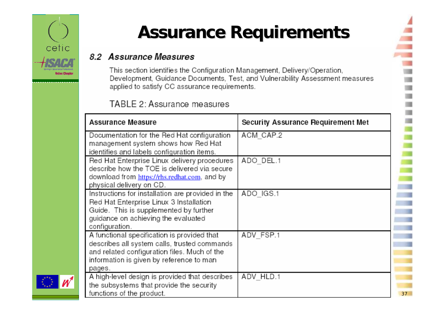

## **Assurance Requirements Assurance Requirements**

#### 8.2 Assurance Measures

This section identifies the Configuration Management, Delivery/Operation, Development, Guidance Documents, Test, and Vulnerability Assessment measures applied to satisfy CC assurance requirements.

#### TABLE 2: Assurance measures

| Assurance Measure                                                                                                                                                                                 | Security Assurance Requirement Met |    |
|---------------------------------------------------------------------------------------------------------------------------------------------------------------------------------------------------|------------------------------------|----|
| Documentation for the Red Hat configuration<br>management system shows how Red Hat<br>identifies and labels configuration items.                                                                  | ACM CAP.2                          |    |
| Red Hat Enterprise Linux delivery procedures<br>describe how the TOE is delivered via secure<br>download from https://rhs.redhat.com, and by<br>physical delivery on CD.                          | ADO DEL.1                          |    |
| Instructions for installation are provided in the<br>Red Hat Enterprise Linux 3 Installation<br>Guide. This is supplemented by further<br>guidance on achieving the evaluated<br>configuration.   | ADO IGS.1                          |    |
| A functional specification is provided that<br>describes all system calls, trusted commands<br>and related configuration files. Much of the<br>information is given by reference to man<br>pages. | ADV FSP.1                          |    |
| A high-level design is provided that describes<br>the subsystems that provide the security<br>functions of the product.                                                                           | ADV HLD.1                          | 37 |

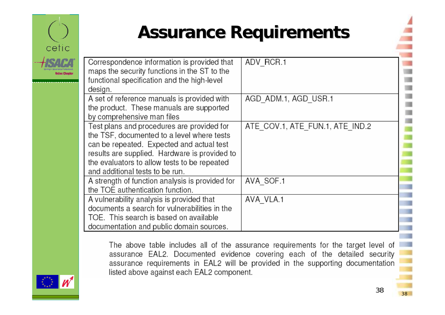

### **Assurance Requirements Assurance Requirements**

| Correspondence information is provided that<br>maps the security functions in the ST to the<br>functional specification and the high-level<br>design.                                                                                                                     | ADV RCR.1                       |
|---------------------------------------------------------------------------------------------------------------------------------------------------------------------------------------------------------------------------------------------------------------------------|---------------------------------|
| A set of reference manuals is provided with<br>the product. These manuals are supported<br>by comprehensive man files                                                                                                                                                     | AGD ADM.1, AGD USR.1            |
| Test plans and procedures are provided for<br>the TSF, documented to a level where tests<br>can be repeated. Expected and actual test<br>results are supplied. Hardware is provided to<br>the evaluators to allow tests to be repeated<br>and additional tests to be run. | ATE COV.1, ATE FUN.1, ATE IND.2 |
| A strength of function analysis is provided for<br>the TOE authentication function.                                                                                                                                                                                       | AVA SOF.1                       |
| A vulnerability analysis is provided that<br>documents a search for vulnerabilities in the<br>TOE. This search is based on available<br>documentation and public domain sources.                                                                                          | AVA VLA.1                       |

The above table includes all of the assurance requirements for the target level of assurance EAL2. Documented evidence covering each of the detailed security assurance requirements in EAL2 will be provided in the supporting documentation listed above against each EAL2 component.

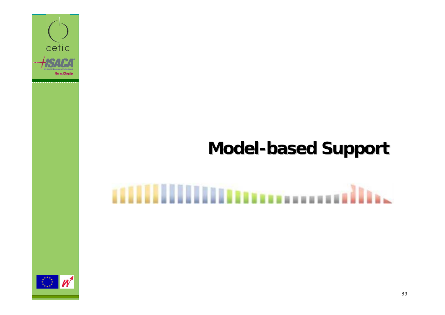

### **Model-based Support based Support**

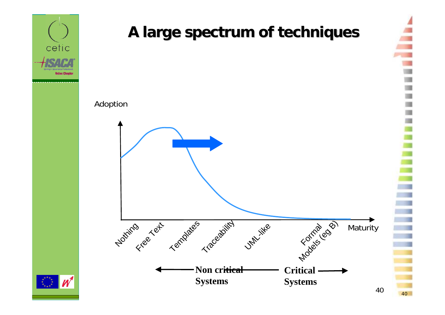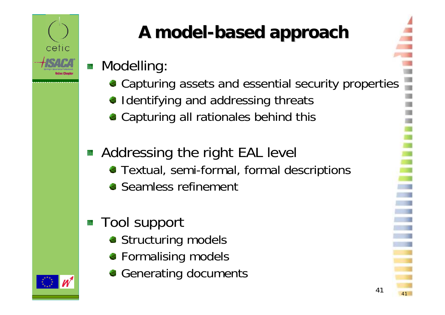

# **A model A model-based approach based approach**

### **Modelling:**

- Capturing assets and essential security properties
- Identifying and addressing threats
- **Capturing all rationales behind this**

### **Addressing the right EAL level**

- Textual, semi-formal, formal descriptions
- **Seamless refinement**

### **Tool support**

- **Structuring models**
- **Formalising models**
- Generating documents



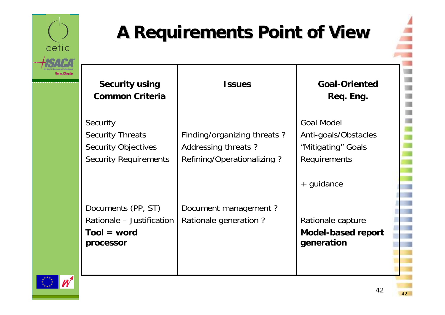

## **A Requirements Point of View A Requirements Point of View**

| Security using<br><b>Common Criteria</b>                                                          | <b>Issues</b>                                                                    | <b>Goal-Oriented</b><br>Req. Eng.                                               |
|---------------------------------------------------------------------------------------------------|----------------------------------------------------------------------------------|---------------------------------------------------------------------------------|
| Security<br><b>Security Threats</b><br><b>Security Objectives</b><br><b>Security Requirements</b> | Finding/organizing threats?<br>Addressing threats?<br>Refining/Operationalizing? | <b>Goal Model</b><br>Anti-goals/Obstacles<br>"Mitigating" Goals<br>Requirements |
| Documents (PP, ST)<br>Rationale - Justification<br>$Tool = word$<br>processor                     | Document management?<br>Rationale generation?                                    | + guidance<br>Rationale capture<br><b>Model-based report</b><br>generation      |

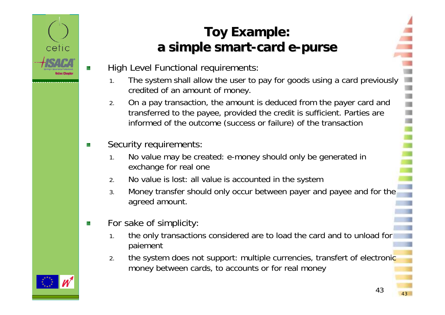

### **Toy Example: a simple smart a simple smart-card e-purse**

- High Level Functional requirements:
	- 1. The system shall allow the user to pay for goods using a card previously credited of an amount of money.
	- 2. On a pay transaction, the amount is deduced from the payer card and transferred to the payee, provided the credit is sufficient. Parties are informed of the outcome (success or failure) of the transaction
- Security requirements: 族
	- 1. No value may be created: e-money should only be generated in exchange for real one
	- 2.No value is lost: all value is accounted in the system
	- 3. Money transfer should only occur between payer and payee and for the agreed amount.
- For sake of simplicity: 锋
	- 1. the only transactions considered are to load the card and to unload for paiement
	- 2. the system does not support: multiple currencies, transfert of electronic money between cards, to accounts or for real money

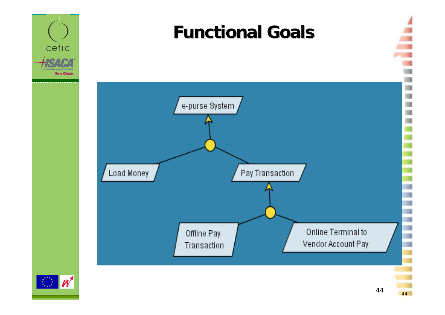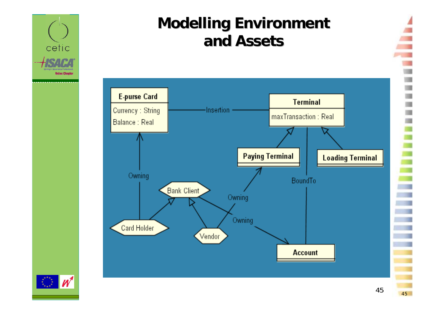

### **Modelling Environment and Assets and Assets**

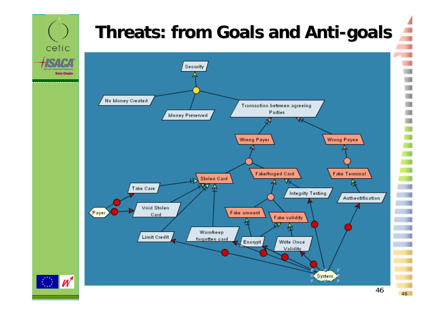# **Threats: from Goals and Anti Threats: from Goals and Anti -goals**

cetic

**Belux Chapter** 

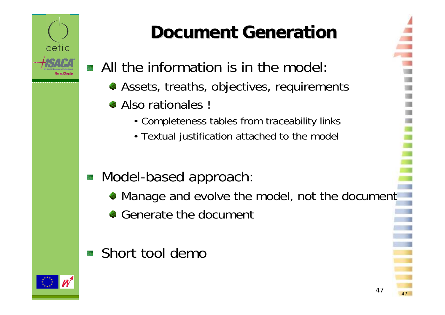

## **Document Generation Document Generation**

- All the information is in the model:
	- Assets, treaths, objectives, requirements
	- Also rationales !
		- Completeness tables from traceability links
		- Textual justification attached to the model

### **Model-based approach:**

Manage and evolve the model, not the document

47

- Generate the document
- **Short tool demo**

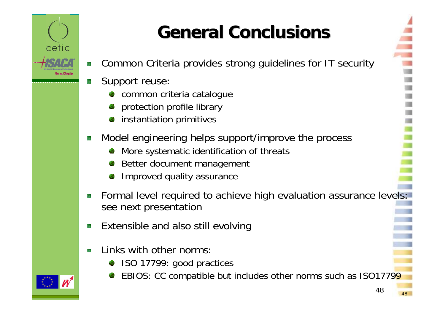

# **General Conclusions General Conclusions**

- Common Criteria provides strong guidelines for IT security S.
- Support reuse:
	- common criteria catalogue
	- protection profile library
	- instantiation primitives
- Model engineering helps support/improve the process t.
	- More systematic identification of threats
	- Better document management
	- Improved quality assurance
- Formal level required to achieve high evaluation assurance levels: 族 see next presentation
- Extensible and also still evolving
- Links with other norms:
	- ISO 17799: good practices
	- EBIOS: CC compatible but includes other norms such as ISO17799

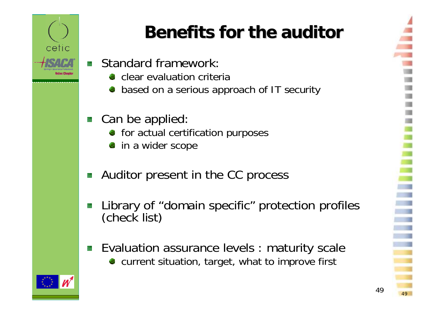

# **Benefits for the auditor Benefits for the auditor**

- Standard framework:
	- **Clear evaluation criteria**
	- based on a serious approach of IT security
- Can be applied:
	- **•** for actual certification purposes
	- in a wider scope
- Auditor present in the CC process
- Library of "domain specific" protection profiles (check list)
- Evaluation assurance levels : maturity scale current situation, target, what to improve first